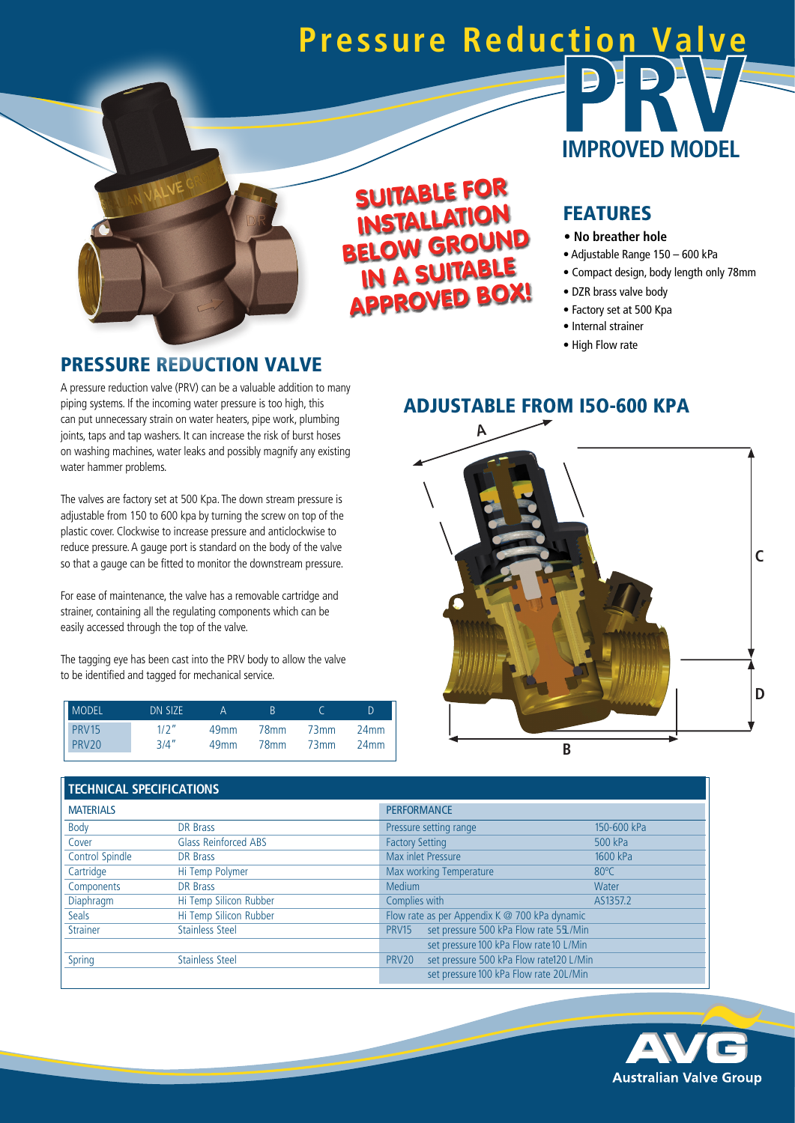# **Pressure Reduction Valve**



# SUITABLE FOR INSTALLATION BELOW GROUND IN A SUITABLE APPROVED BOX!

# **IMPROVED MODEL**

#### FEATU RES

- **No breather hole**
- Adjustable Range 150 600 kPa
- Compact design, body length only 78mm
- DZR brass valve body
- Factory set at 500 Kpa
- Internal strainer
- High Flow rate

#### PRESSURE REDUCTION VALVE

A pressure reduction valve (PRV) can be a valuable addition to many piping systems. If the incoming water pressure is too high, this can put unnecessary strain on water heaters, pipe work, plumbing joints, taps and tap washers. It can increase the risk of burst hoses on washing machines, water leaks and possibly magnify any existing water hammer problems.

The valves are factory set at 500 Kpa. The down stream pressure is adjustable from 150 to 600 kpa by turning the screw on top of the plastic cover. Clockwise to increase pressure and anticlockwise to reduce pressure. A gauge port is standard on the body of the valve so that a gauge can be fitted to monitor the downstream pressure.

For ease of maintenance, the valve has a removable cartridge and strainer, containing all the regulating components which can be easily accessed through the top of the valve.

The tagging eye has been cast into the PRV body to allow the valve to be identified and tagged for mechanical service.

| MODEL          | DN SIZE |                  | R                |      | D                |
|----------------|---------|------------------|------------------|------|------------------|
| PRV15<br>PRV20 | 1/2''   | 49 <sub>mm</sub> | 78mm             | 73mm | 24 <sub>mm</sub> |
|                | 3/4''   | 49 <sub>mm</sub> | 78 <sub>mm</sub> | 73mm | 24 <sub>mm</sub> |

#### ADJUSTABLE FROM I5O-600 KPA



#### **TECHNICAL SPECIFICATIONS**

| <b>MATERIALS</b> |                             | <b>PERFORMANCE</b>                                      |                |  |  |
|------------------|-----------------------------|---------------------------------------------------------|----------------|--|--|
| Body             | DR Brass                    | Pressure setting range                                  | 150-600 kPa    |  |  |
| Cover            | <b>Glass Reinforced ABS</b> | <b>Factory Setting</b>                                  | 500 kPa        |  |  |
| Control Spindle  | DR Brass                    | Max inlet Pressure                                      | 1600 kPa       |  |  |
| Cartridge        | Hi Temp Polymer             | Max working Temperature                                 | $80^{\circ}$ C |  |  |
| Components       | DR Brass                    | <b>Medium</b>                                           | Water          |  |  |
| Diaphragm        | Hi Temp Silicon Rubber      | Complies with                                           | AS1357.2       |  |  |
| <b>Seals</b>     | Hi Temp Silicon Rubber      | Flow rate as per Appendix K @ 700 kPa dynamic           |                |  |  |
| <b>Strainer</b>  | <b>Stainless Steel</b>      | set pressure 500 kPa Flow rate 55./Min<br><b>PRV15</b>  |                |  |  |
|                  |                             | set pressure 100 kPa Flow rate 10 L/Min                 |                |  |  |
| Spring           | <b>Stainless Steel</b>      | set pressure 500 kPa Flow rate120 L/Min<br><b>PRV20</b> |                |  |  |
|                  |                             | set pressure 100 kPa Flow rate 20L/Min                  |                |  |  |

**Property**